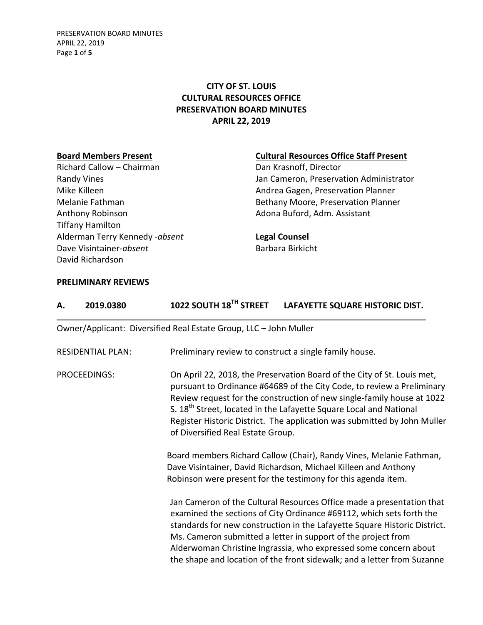PRESERVATION BOARD MINUTES APRIL 22, 2019 Page **1** of **5**

# **CITY OF ST. LOUIS CULTURAL RESOURCES OFFICE PRESERVATION BOARD MINUTES APRIL 22, 2019**

Richard Callow – Chairman Dan Krasnoff, Director Anthony Robinson **Adona Buford, Adm. Assistant** Tiffany Hamilton Alderman Terry Kennedy -*absent* **Legal Counsel** Dave Visintainer-absent<br>
Barbara Birkicht David Richardson

### **Board Members Present Cultural Resources Office Staff Present**

Randy Vines **National Communistrator** Jan Cameron, Preservation Administrator Mike Killeen **Andrea Gagen, Preservation Planner** Andrea Gagen, Preservation Planner Melanie Fathman and Bethany Moore, Preservation Planner

### **PRELIMINARY REVIEWS**

| Α.                       | 2019.0380                                                         | 1022 SOUTH 18 <sup>TH</sup> STREET                                                                                                                                                                                                                                                                                                                                                                                             | LAFAYETTE SQUARE HISTORIC DIST.                                                                                                                                                                                                                                                                                                                                                                                                            |  |  |
|--------------------------|-------------------------------------------------------------------|--------------------------------------------------------------------------------------------------------------------------------------------------------------------------------------------------------------------------------------------------------------------------------------------------------------------------------------------------------------------------------------------------------------------------------|--------------------------------------------------------------------------------------------------------------------------------------------------------------------------------------------------------------------------------------------------------------------------------------------------------------------------------------------------------------------------------------------------------------------------------------------|--|--|
|                          | Owner/Applicant: Diversified Real Estate Group, LLC - John Muller |                                                                                                                                                                                                                                                                                                                                                                                                                                |                                                                                                                                                                                                                                                                                                                                                                                                                                            |  |  |
| <b>RESIDENTIAL PLAN:</b> |                                                                   | Preliminary review to construct a single family house.                                                                                                                                                                                                                                                                                                                                                                         |                                                                                                                                                                                                                                                                                                                                                                                                                                            |  |  |
| PROCEEDINGS:             |                                                                   | On April 22, 2018, the Preservation Board of the City of St. Louis met,<br>pursuant to Ordinance #64689 of the City Code, to review a Preliminary<br>Review request for the construction of new single-family house at 1022<br>S. 18 <sup>th</sup> Street, located in the Lafayette Square Local and National<br>Register Historic District. The application was submitted by John Muller<br>of Diversified Real Estate Group. |                                                                                                                                                                                                                                                                                                                                                                                                                                            |  |  |
|                          |                                                                   |                                                                                                                                                                                                                                                                                                                                                                                                                                | Board members Richard Callow (Chair), Randy Vines, Melanie Fathman,<br>Dave Visintainer, David Richardson, Michael Killeen and Anthony<br>Robinson were present for the testimony for this agenda item.                                                                                                                                                                                                                                    |  |  |
|                          |                                                                   |                                                                                                                                                                                                                                                                                                                                                                                                                                | Jan Cameron of the Cultural Resources Office made a presentation that<br>examined the sections of City Ordinance #69112, which sets forth the<br>standards for new construction in the Lafayette Square Historic District.<br>Ms. Cameron submitted a letter in support of the project from<br>Alderwoman Christine Ingrassia, who expressed some concern about<br>the shape and location of the front sidewalk; and a letter from Suzanne |  |  |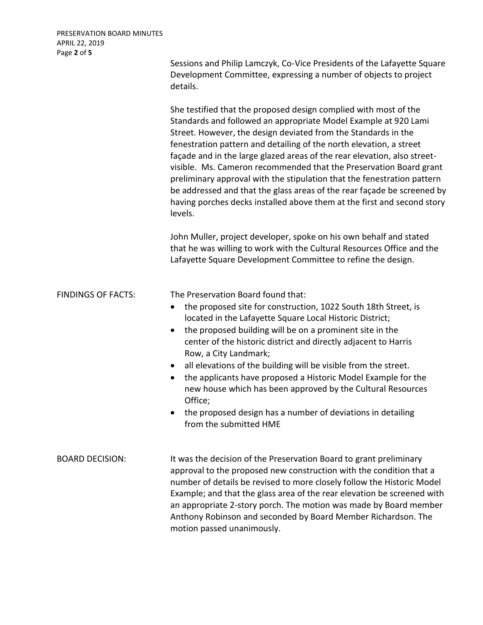Sessions and Philip Lamczyk, Co-Vice Presidents of the Lafayette Square Development Committee, expressing a number of objects to project details.

She testified that the proposed design complied with most of the Standards and followed an appropriate Model Example at 920 Lami Street. However, the design deviated from the Standards in the fenestration pattern and detailing of the north elevation, a street façade and in the large glazed areas of the rear elevation, also streetvisible. Ms. Cameron recommended that the Preservation Board grant preliminary approval with the stipulation that the fenestration pattern be addressed and that the glass areas of the rear façade be screened by having porches decks installed above them at the first and second story levels.

John Muller, project developer, spoke on his own behalf and stated that he was willing to work with the Cultural Resources Office and the Lafayette Square Development Committee to refine the design.

| <b>FINDINGS OF FACTS:</b> | The Preservation Board found that:<br>the proposed site for construction, 1022 South 18th Street, is<br>٠<br>located in the Lafayette Square Local Historic District;<br>the proposed building will be on a prominent site in the<br>$\bullet$<br>center of the historic district and directly adjacent to Harris<br>Row, a City Landmark;<br>all elevations of the building will be visible from the street.<br>$\bullet$<br>the applicants have proposed a Historic Model Example for the<br>$\bullet$<br>new house which has been approved by the Cultural Resources<br>Office;<br>the proposed design has a number of deviations in detailing<br>$\bullet$<br>from the submitted HME |
|---------------------------|------------------------------------------------------------------------------------------------------------------------------------------------------------------------------------------------------------------------------------------------------------------------------------------------------------------------------------------------------------------------------------------------------------------------------------------------------------------------------------------------------------------------------------------------------------------------------------------------------------------------------------------------------------------------------------------|
| <b>BOARD DECISION:</b>    | It was the decision of the Preservation Board to grant preliminary<br>approval to the proposed new construction with the condition that a<br>number of details be revised to more closely follow the Historic Model<br>Example; and that the glass area of the rear elevation be screened with<br>an appropriate 2-story porch. The motion was made by Board member<br>Anthony Robinson and seconded by Board Member Richardson. The                                                                                                                                                                                                                                                     |

motion passed unanimously.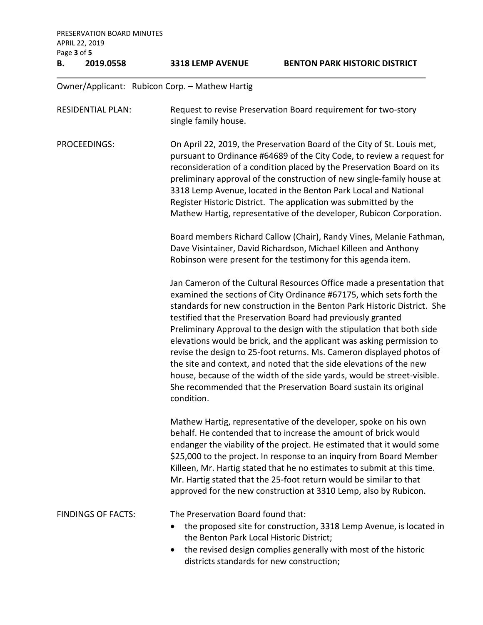PRESERVATION BOARD MINUTES APRIL 22, 2019 Page **3** of **5 B. 2019.0558 3318 LEMP AVENUE BENTON PARK HISTORIC DISTRICT** Owner/Applicant: Rubicon Corp. – Mathew Hartig RESIDENTIAL PLAN: Request to revise Preservation Board requirement for two-story single family house. PROCEEDINGS: On April 22, 2019, the Preservation Board of the City of St. Louis met, pursuant to Ordinance #64689 of the City Code, to review a request for reconsideration of a condition placed by the Preservation Board on its preliminary approval of the construction of new single-family house at 3318 Lemp Avenue, located in the Benton Park Local and National Register Historic District. The application was submitted by the Mathew Hartig, representative of the developer, Rubicon Corporation. Board members Richard Callow (Chair), Randy Vines, Melanie Fathman, Dave Visintainer, David Richardson, Michael Killeen and Anthony Robinson were present for the testimony for this agenda item. Jan Cameron of the Cultural Resources Office made a presentation that examined the sections of City Ordinance #67175, which sets forth the standards for new construction in the Benton Park Historic District. She testified that the Preservation Board had previously granted Preliminary Approval to the design with the stipulation that both side elevations would be brick, and the applicant was asking permission to revise the design to 25-foot returns. Ms. Cameron displayed photos of the site and context, and noted that the side elevations of the new house, because of the width of the side yards, would be street-visible. She recommended that the Preservation Board sustain its original condition. Mathew Hartig, representative of the developer, spoke on his own behalf. He contended that to increase the amount of brick would endanger the viability of the project. He estimated that it would some \$25,000 to the project. In response to an inquiry from Board Member Killeen, Mr. Hartig stated that he no estimates to submit at this time. Mr. Hartig stated that the 25-foot return would be similar to that approved for the new construction at 3310 Lemp, also by Rubicon. FINDINGS OF FACTS: The Preservation Board found that: • the proposed site for construction, 3318 Lemp Avenue, is located in the Benton Park Local Historic District; • the revised design complies generally with most of the historic districts standards for new construction;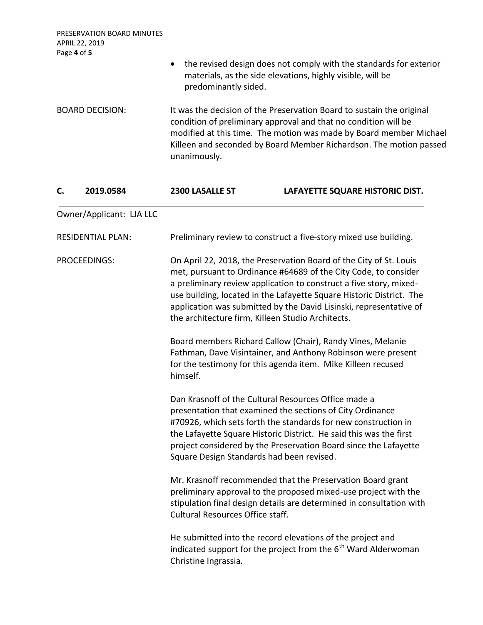| PRESERVATION BOARD MINUTES<br>APRIL 22, 2019<br>Page 4 of 5 |                                                                                                                                                                                                                                                                                                      |                                                                                                                                                                                                                                                                                                                                                                                                                                                                                                                                                         |  |
|-------------------------------------------------------------|------------------------------------------------------------------------------------------------------------------------------------------------------------------------------------------------------------------------------------------------------------------------------------------------------|---------------------------------------------------------------------------------------------------------------------------------------------------------------------------------------------------------------------------------------------------------------------------------------------------------------------------------------------------------------------------------------------------------------------------------------------------------------------------------------------------------------------------------------------------------|--|
|                                                             | $\bullet$<br>predominantly sided.                                                                                                                                                                                                                                                                    | the revised design does not comply with the standards for exterior<br>materials, as the side elevations, highly visible, will be                                                                                                                                                                                                                                                                                                                                                                                                                        |  |
| <b>BOARD DECISION:</b>                                      | It was the decision of the Preservation Board to sustain the original<br>condition of preliminary approval and that no condition will be<br>modified at this time. The motion was made by Board member Michael<br>Killeen and seconded by Board Member Richardson. The motion passed<br>unanimously. |                                                                                                                                                                                                                                                                                                                                                                                                                                                                                                                                                         |  |
| 2019.0584<br>C.                                             | 2300 LASALLE ST                                                                                                                                                                                                                                                                                      | LAFAYETTE SQUARE HISTORIC DIST.                                                                                                                                                                                                                                                                                                                                                                                                                                                                                                                         |  |
| Owner/Applicant: LJA LLC                                    |                                                                                                                                                                                                                                                                                                      |                                                                                                                                                                                                                                                                                                                                                                                                                                                                                                                                                         |  |
| <b>RESIDENTIAL PLAN:</b>                                    | Preliminary review to construct a five-story mixed use building.                                                                                                                                                                                                                                     |                                                                                                                                                                                                                                                                                                                                                                                                                                                                                                                                                         |  |
| <b>PROCEEDINGS:</b>                                         | the architecture firm, Killeen Studio Architects.<br>himself.                                                                                                                                                                                                                                        | On April 22, 2018, the Preservation Board of the City of St. Louis<br>met, pursuant to Ordinance #64689 of the City Code, to consider<br>a preliminary review application to construct a five story, mixed-<br>use building, located in the Lafayette Square Historic District. The<br>application was submitted by the David Lisinski, representative of<br>Board members Richard Callow (Chair), Randy Vines, Melanie<br>Fathman, Dave Visintainer, and Anthony Robinson were present<br>for the testimony for this agenda item. Mike Killeen recused |  |
|                                                             | Dan Krasnoff of the Cultural Resources Office made a<br>Square Design Standards had been revised.                                                                                                                                                                                                    | presentation that examined the sections of City Ordinance<br>#70926, which sets forth the standards for new construction in<br>the Lafayette Square Historic District. He said this was the first<br>project considered by the Preservation Board since the Lafayette                                                                                                                                                                                                                                                                                   |  |
|                                                             | <b>Cultural Resources Office staff.</b>                                                                                                                                                                                                                                                              | Mr. Krasnoff recommended that the Preservation Board grant<br>preliminary approval to the proposed mixed-use project with the<br>stipulation final design details are determined in consultation with                                                                                                                                                                                                                                                                                                                                                   |  |
|                                                             | Christine Ingrassia.                                                                                                                                                                                                                                                                                 | He submitted into the record elevations of the project and<br>indicated support for the project from the 6 <sup>th</sup> Ward Alderwoman                                                                                                                                                                                                                                                                                                                                                                                                                |  |